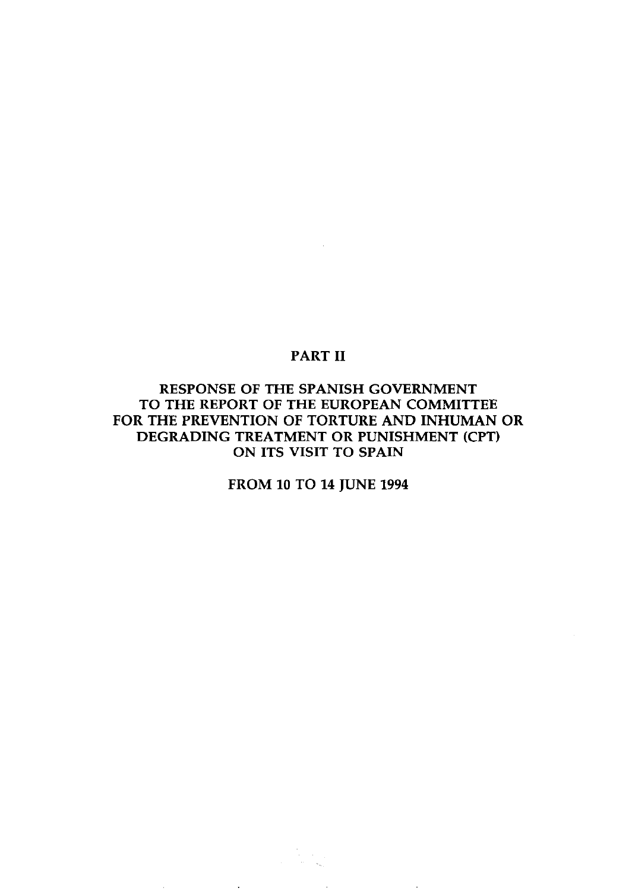# PART II

### RESPONSE OF THE SPANISH GOVERNMENT TO THE REPORT OF THE EUROPEAN COMMITTEE FOR THE PREVENTION OF TORTURE AND INHUMAN OR DEGRADING TREATMENT OR PUNISHMENT (CPT) ON ITS VISIT TO SPAIN

FROM 10 TO 14 JUNE 1994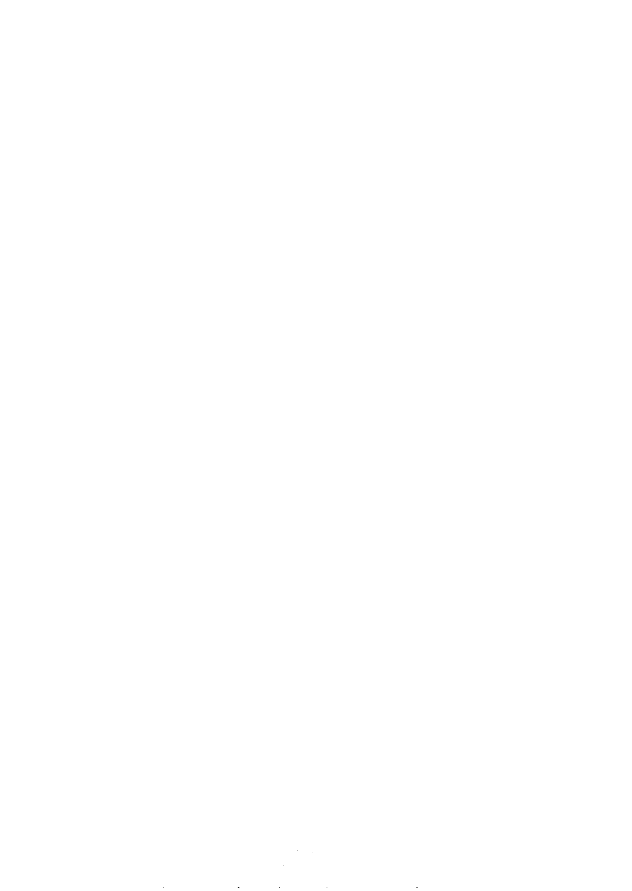$\sim 0.1$ 

 $\overline{\phantom{a}}$ 

 $\label{eq:2.1} \begin{split} \frac{1}{\sqrt{2\pi}}\frac{1}{\sqrt{2\pi}}\frac{1}{\sqrt{2\pi}}\frac{1}{\sqrt{2\pi}}\frac{1}{\sqrt{2\pi}}\frac{1}{\sqrt{2\pi}}\frac{1}{\sqrt{2\pi}}\frac{1}{\sqrt{2\pi}}\frac{1}{\sqrt{2\pi}}\frac{1}{\sqrt{2\pi}}\frac{1}{\sqrt{2\pi}}\frac{1}{\sqrt{2\pi}}\frac{1}{\sqrt{2\pi}}\frac{1}{\sqrt{2\pi}}\frac{1}{\sqrt{2\pi}}\frac{1}{\sqrt{2\pi}}\frac{1}{\sqrt{2\pi}}\frac$ 

 $\star$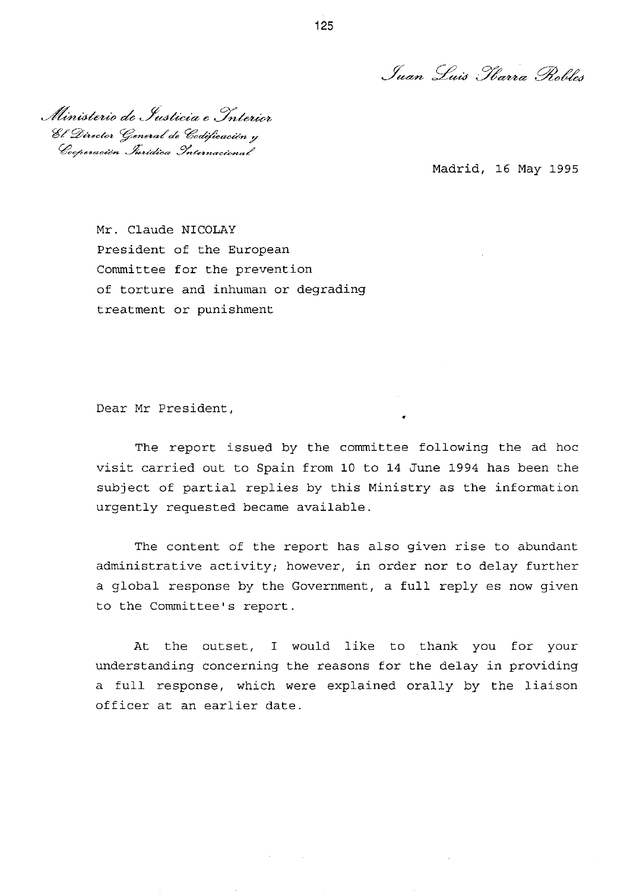Juan Luis : Tharra . Robles

Ministerio de Justicia e Interior El Director General de Codificación y Cooperación Iurídica Internacional

Madrid, 16 May 1995

Mr. Claude NICOLAY President of the European Committee for the prevention of torture and inhuman or degrading treatment or punishment

Dear Mr President,

The report issued by the committee following the ad hoc visit carried out to Spain from 10 to 14 June 1994 has been the subject of partial replies by this Ministry as the information urgently requested became available.

The content of the report has also given rise to abundant administrative activity; however, in order nor to delay further a global response by the Government, a full reply es now given to the Committee's report.

the outset, I would like to thank you for your At understanding concerning the reasons for the delay in providing a full response, which were explained orally by the liaison officer at an earlier date.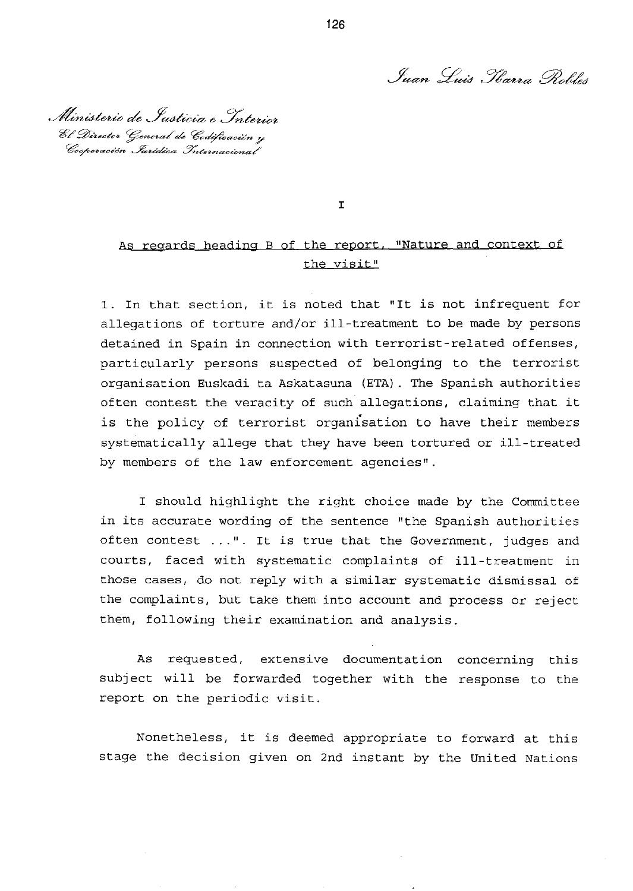Iuan Luis . Harra Probles

*Ministerio de Iusticia e Interior*  $\mathscr{E}l$  Director General de Codificación *ri* Cooperación Iuridica Internacional

I

### As regards heading B of the report, "Nature and context of **the visit"**

1, In that section, it is noted that "It is not infrequent for allegations of torture and/or ill-treatment to be made by persons detained in Spain in connection with terrorist-related offenses, particularly persons suspected of belonging to the terrorist organisation Euskadi ta Askatasuna (ETA) , The Spanish authorities often contest the veracity of such allegations, claiming that it is the policy of terrorist organisation to have their members systematically allege that they have been tortured or ill-treated by members of the law enforcement agencies",

1 should highlight the right choice made by the Committee in its accurate wording of the sentence "the Spanish authorities often contest ...". It is true that the Government, judges and courts, faced with systematic complaints of ill-treatment in those cases, do not reply with a similar systematic dismissal of the complaints, but take them into account and process or reject them, following their examination and analysis.

As requested, extensive documentation concerning this subject will be forwarded together with the response to the report on the periodic visit,

Nonetheless, it is deemed appropriate to forward at this stage the decision given on 2nd instant by the United Nations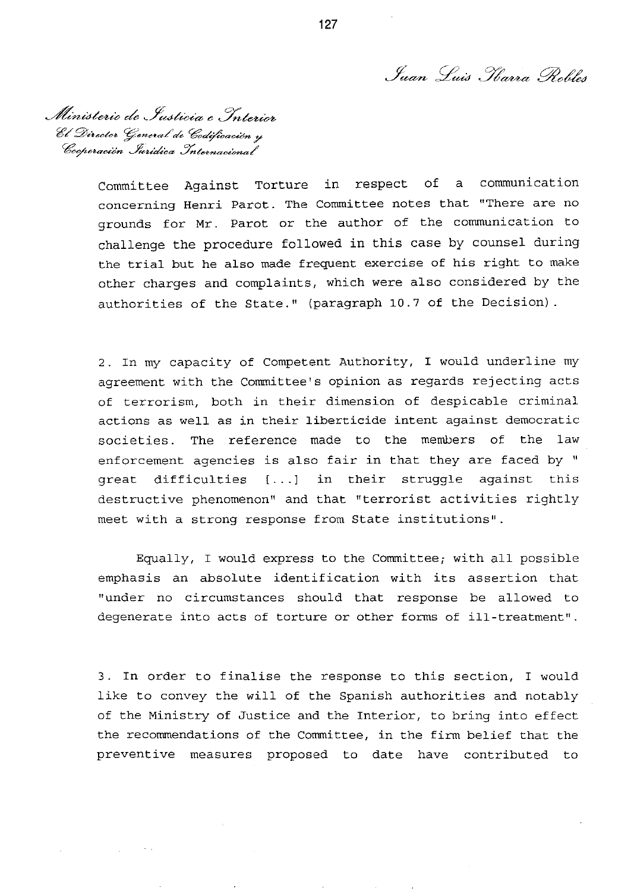Juan Luis . Harra Robles

Ministerio de Justicia e Interior El Director General de Codificación y Cooperación Iurídica Internacional

> in respect of a communication Committee Against Torture concerning Henri Parot. The Committee notes that "There are no grounds for Mr. Parot or the author of the communication to challenge the procedure followed in this case by counsel during the trial but he also made frequent exercise of his right to make other charges and complaints, which were also considered by the authorities of the State." (paragraph 10.7 of the Decision).

> 2. In my capacity of Competent Authority, I would underline my agreement with the Committee's opinion as regards rejecting acts of terrorism, both in their dimension of despicable criminal actions as well as in their liberticide intent against democratic societies. The reference made to the members of the law enforcement agencies is also fair in that they are faced by " difficulties [...] in their struggle against this great destructive phenomenon" and that "terrorist activities rightly meet with a strong response from State institutions".

> Equally, I would express to the Committee; with all possible emphasis an absolute identification with its assertion that "under no circumstances should that response be allowed to degenerate into acts of torture or other forms of ill-treatment".

> 3. In order to finalise the response to this section, I would like to convey the will of the Spanish authorities and notably of the Ministry of Justice and the Interior, to bring into effect the recommendations of the Committee, in the firm belief that the preventive measures proposed to date have contributed to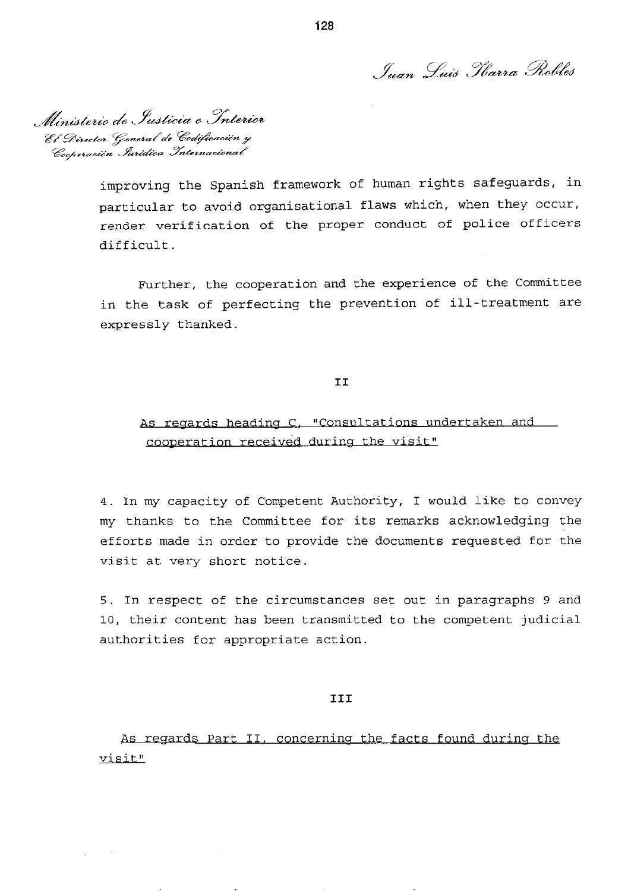Juan Luis Karra Robles

Ministerio de Justicia e Interior El Director General de Codificación y Cooperación Surídica Internacional

 $\gamma \rightarrow \gamma \gamma$ 

improving the Spanish framework of human rights safeguards, in particular to avoid organisational flaws which, when they occur, render verification of the proper conduct of police officers difficult.

Further, the cooperation and the experience of the Committee in the task of perfecting the prevention of ill-treatment are expressly thanked.

**TT** 

# As regards heading C, "Consultations undertaken and cooperation received during the visit"

4. In my capacity of Competent Authority, I would like to convey my thanks to the Committee for its remarks acknowledging the efforts made in order to provide the documents requested for the visit at very short notice.

5. In respect of the circumstances set out in paragraphs 9 and 10, their content has been transmitted to the competent judicial authorities for appropriate action.

#### III

As regards Part II, concerning the facts found during the  $visit"$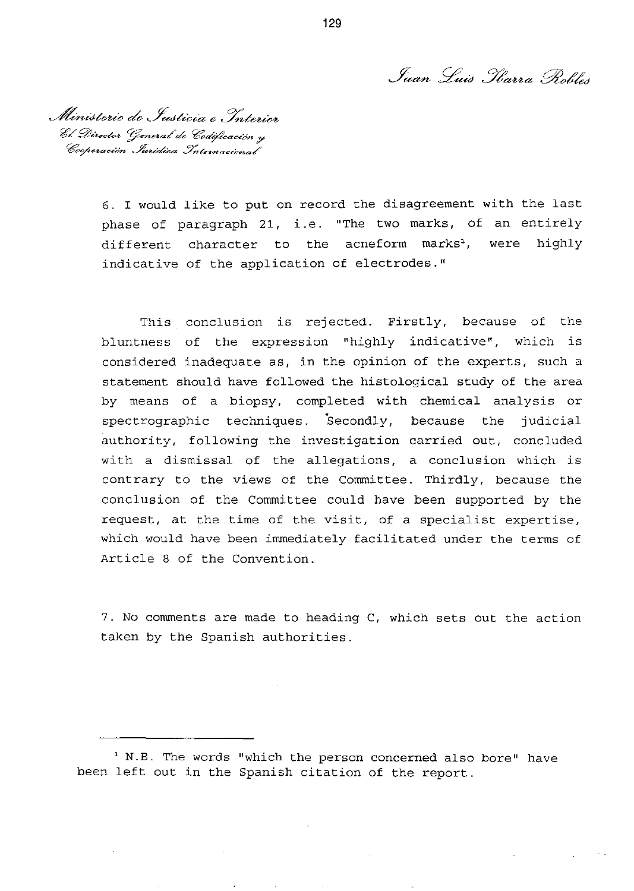Juan Luis . Harra Probles

Ministerio de Justicia e Interior El Director Ceneral de Codificación y Cooperación Iuridica Internacional

> 6. I would like to put on record the disagreement with the last phase of paragraph 21, i.e. "The two marks, of an entirely different character to the acneform marks<sup>1</sup>, highly were indicative of the application of electrodes."

> This conclusion is rejected. Firstly, because of the bluntness of the expression "highly indicative", which is considered inadequate as, in the opinion of the experts, such a statement should have followed the histological study of the area by means of a biopsy, completed with chemical analysis or spectrographic techniques. Secondly, because the judicial authority, following the investigation carried out, concluded with a dismissal of the allegations, a conclusion which is contrary to the views of the Committee. Thirdly, because the conclusion of the Committee could have been supported by the request, at the time of the visit, of a specialist expertise, which would have been immediately facilitated under the terms of Article 8 of the Convention.

> 7. No comments are made to heading C, which sets out the action taken by the Spanish authorities.

<sup>&</sup>lt;sup>1</sup> N.B. The words "which the person concerned also bore" have been left out in the Spanish citation of the report.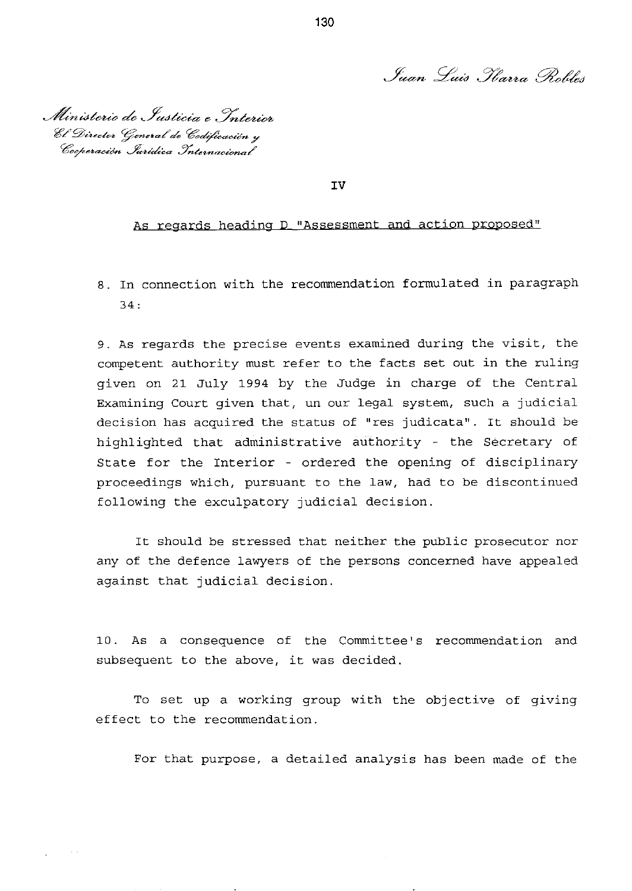Juan Luis Karra Robles

*../J!Z'nUJ¿euo ale* ~Y¡uj¿¿úa *e ch¿M-W'-*  $&$ l Director Ceneral de Codificación y Cooperación Iuridica Internacional

**IV** 

### As regards heading D "Assessment and action proposed"

8. In connection with the recommendation formulated in paragraph 34:

9. As regards the precise events examined during the visit, the competent authority must refer to the facts set out in the ruling given on 21 July 1994 by the Judge in charge of the Central Examining Court given that, un our legal system, such a judicial decision has acquired the status of "res judicata". It should be highlighted that administrative authority - the Secretary of State for the Interior - ordered the opening of disciplinary proceedings which, pursuant to the law, had to be discontinued following the exculpatory judicial decision.

It should be stressed that neither the public prosecutor nor any of the defence lawyers of the persons concerned have appealed against that judicial decision.

10. As a consequence of the Committee's recommendation and subsequent to the above, it was decided.

To set up a working group with the objective of giving effect to the recommendation.

For that purpose, a detailed analysis has been made of the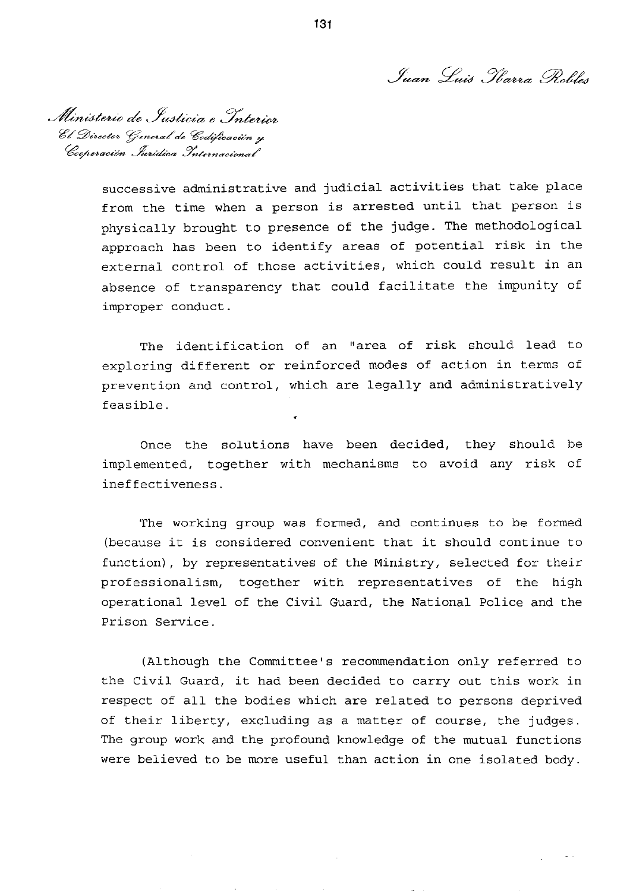Iuan Luis . Harra Probles

*Ministerio de Justicia e Interior*  $\mathscr{E} \ell$  Director General de Codificación n ~01!)\*acú5n. ~~ct:4ca *X,c",,znaceon.a¿* 

> successive administrative and judicial activities that take place from the time when a person is arrested until that person is physically brought to presence of the judge. The methodological approach has been to identify areas of potential risk in the external control of those activities, which could result in an absence of transparency that could facilitate the impunity of improper conduct.

> The identification of an "area of risk should lead to exploring different or reinforced modes of action in terms of prevention and control, which are legally and administratively feasible.

> Once the solutions have been decided, they should be implemented, together with mechanisms to avoid any risk of ineffectiveness.

> The working group was formed, and continues to be formed (because it is considered convenient that it should continue to function), by representatives of the Ministry, selected for their professionalism, together with representatives of the high operational level of the Civil Guard, the National Police and the Prison Service.

> (Although the Committee's recommendation only referred to the Civil Guard, it had been decided to carry out this work in respect of all the bodies which are related to persons deprived of their liberty, excluding as a matter of course, the judges. The group work and the profound knowledge of the mutual functions were believed to be more useful than action in one isolated body.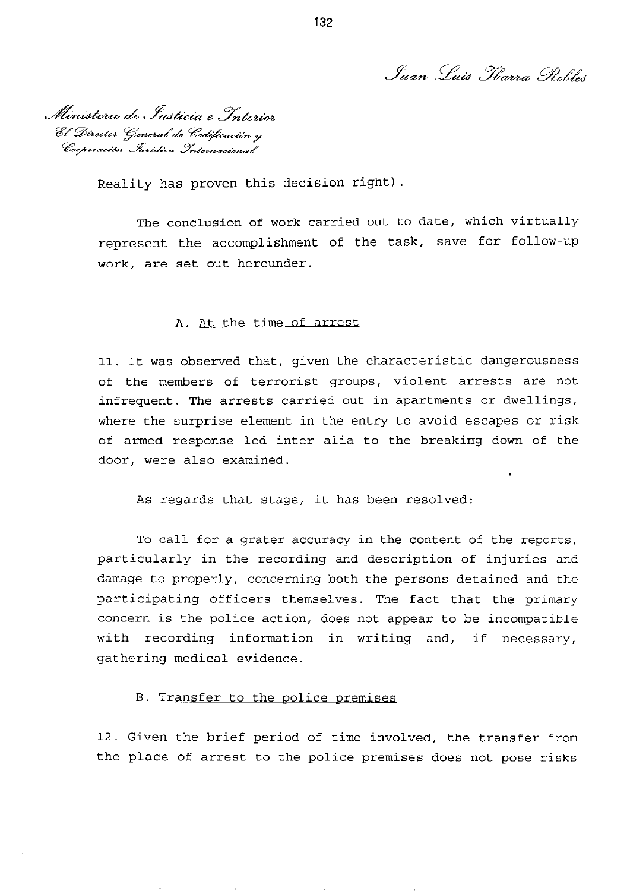Juan Luis Harra Robles

Ministerio de *Iusticia e Interior* if/'E2Jú~c-éo~ :JJ?~ne-t.a/ de ~af~cacUín *y*  Cocheración Iurídica Internacional

Reality has proven this decision right) .

The conclusion of work carried out to date, which virtually represent the accomplishment of the task, save for follow-up work, are set out hereunder.

#### A. At the time of arrest

11. It was observed that, given the characteristic dangerousness of the members of terrorist groups, violent arrests are not infrequent. The arrests carried out in apartments or dwellings, where the surprise element in the entry to avoid escapes or risk of armed response led inter alia to the breaking down of the door, were also examined.

As regards that stage, it has been resolved:

To call for a grater accuracy in the content of the reports, particularly in the recording and description of injuries and damage to properly, concerning both the persons detained and the participating officers themselves. The fact that the primary concern is the police action, does not appear to be incompatible with recording information in writing and, if necessary, gathering medical evidence.

### B. Transfer to the police premises

 $\sim 10$ 

12. Given the brief period of time involved, the transfer from the place of arrest to the police premises does not pose risks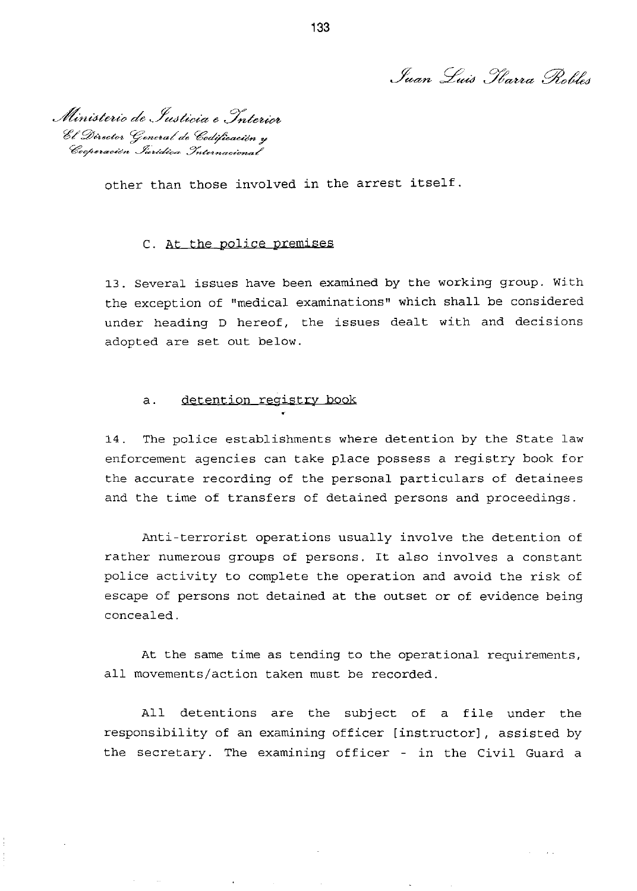Iuan Luis Ibarra Robles

Ministerio de Justicia e Interior El Director General de Codificación y Cooperación Iuridica Internacional

other than those involved in the arrest itself.

#### C. At the police premises

13. Several issues have been examined by the working group. With the exception of "medical examinations" which shall be considered under heading D hereof, the issues dealt with and decisions adopted are set out below.

#### detention registry book  $a.$

The police establishments where detention by the State law  $14.$ enforcement agencies can take place possess a registry book for the accurate recording of the personal particulars of detainees and the time of transfers of detained persons and proceedings.

Anti-terrorist operations usually involve the detention of rather numerous groups of persons. It also involves a constant police activity to complete the operation and avoid the risk of escape of persons not detained at the outset or of evidence being concealed.

At the same time as tending to the operational requirements, all movements/action taken must be recorded.

All detentions are  $the$ subject of a file under the responsibility of an examining officer [instructor], assisted by the secretary. The examining officer - in the Civil Guard a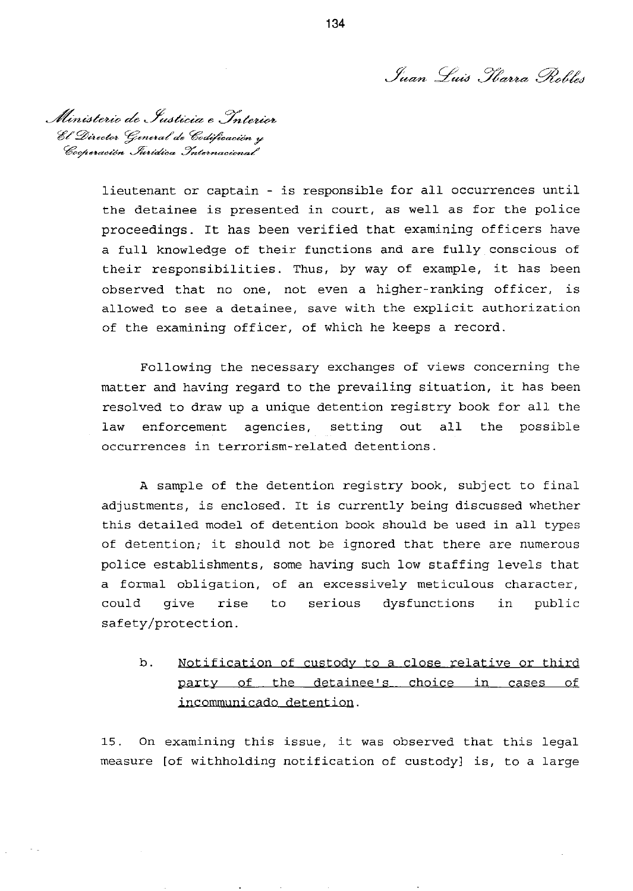Juan Luis Ibarra Robles

Ministerio de Iusticia e Interior El Director General de Codificación y Cooperación Iurídica Internacional

> lieutenant or captain - is responsible for all occurrences until the detainee is presented in court, as well as for the police proceedings. It has been verified that examining officers have a full knowledge of their functions and are fully conscious of their responsibilities. Thus, by way of example, it has been observed that no one, not even a higher-ranking officer, is allowed to see a detainee, save with the explicit authorization of the examining officer, of which he keeps a record.

> Following the necessary exchanges of views concerning the matter and having regard to the prevailing situation, it has been resolved to draw up a unique detention registry book for all the agencies. setting out all the possible law enforcement occurrences in terrorism-related detentions.

> A sample of the detention registry book, subject to final adjustments, is enclosed. It is currently being discussed whether this detailed model of detention book should be used in all types of detention; it should not be ignored that there are numerous police establishments, some having such low staffing levels that a formal obligation, of an excessively meticulous character, could qive rise to serious dysfunctions in public safety/protection.

Notification of custody to a close relative or third  $b$ . party of the detainee's choice in cases of incommunicado detention.

On examining this issue, it was observed that this legal  $15.$ measure [of withholding notification of custody] is, to a large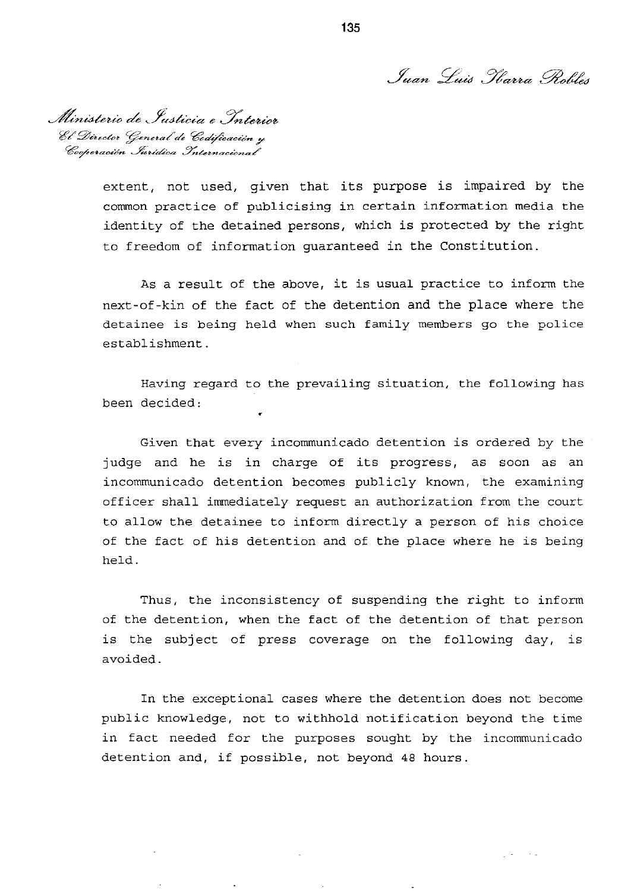Juan Luis . Harra Probles

J/t:ned¿e~io *ale* ~/,:~jácia *e* X.r-w~  $\mathscr{E} \ell$ Director General de Codificación y Cooperación Iuridica Internacional

> extent, not used, given that its purpose is impaired by the cornmon practice of publicising in certain information media the identity of the detained persons, which is protected by the right to freedom of information guaranteed in the Constitution.

> As a result of the above, it is usual practice to inform the next-of-kin of the fact of the detention and the place where the detainee is being held when such family members go the police establishment.

> Having regard to the prevailing situation, the following has been decided:

> Given that every incommunicado detention is ordered by the judge and he is in charge of its progress, as soon as an incommunicado detention becomes publicly known, the examining officer shall irnmediately request an authorization from the court to allow the detainee to inform directly a person of his choice of the fact of his detention and of the place where he is being held.

> Thus, the inconsistency of suspending the right to inform of the detention, when the fact of the detention of that person is the subject of press coverage on the following day, is avoided.

> In the exceptional cases where the detention does not become public knowledge, not to withhold notification beyond the time in fact needed for the purposes sought by the incommunicado detention and, if possible, not beyond 48 hours.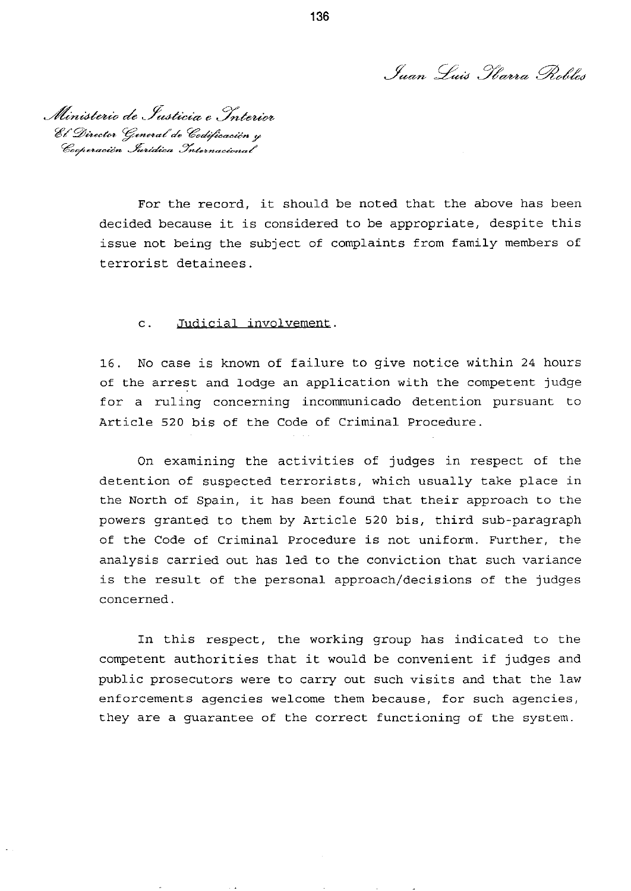Iuan Luis . Harra Probles

*Ministerio de Susticia e Interior* El Director General de Codificación y Cooperación Suridica Internacional

> For the record, it should be noted that the above has been decided because it is considered to be appropriate, despite this issue not being the subject of complaints from family members of terrorist detainees.

### c. Judicial involvement.

16. No case is known of failure to give notice within 24 hours of the arrest and lodge an application with the competent judge for a ruling concerning incommunicado detention pursuant to Article 520 bis of the Code of Criminal Procedure.

On examining the activities of judges in respect of the detention of suspected terrorists, which usually take place in the North of Spain, it has been found that their approach to the powers granted to them by Article 520 bis, third sub-paragraph of the Code of Criminal Procedure is not uniform. Further, the analysis carried out has led to the conviction that such variance is the result of the personal approach/decisions of the judges concerned.

In this respect, the working group has indicated to the competent authorities that it would be convenient if judges and public prosecutors were to carry out such visits and that the law enforcements agencies welcome them because, for such agencies, they are a guarantee of the correct functioning of the system.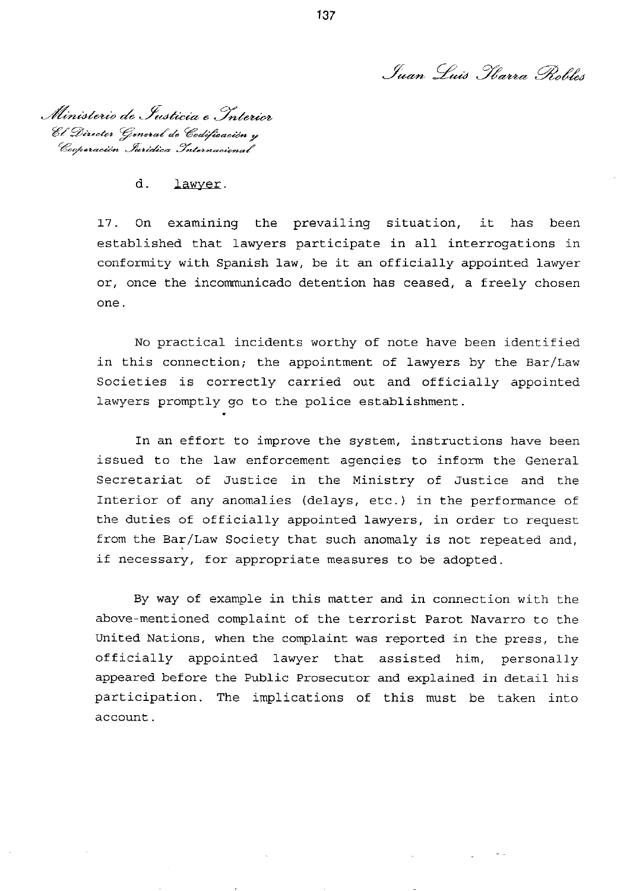Iuan Luis . Harra Probles

Ministerio de Iusticia e Interior El Director General de Codificación y ~re-t.-<zcuon- ~-t~~ *'x/e-t\_?Zacwn-a/* 

d. lawyer.

17. On examining the prevailing situation, it has been established that lawyers participate in all interrogations in conformity with Spanish law, be it an officially appointed lawyer or, once the incommunicado detention has ceased, a freely chosen one.

No practical incidents worthy of note have been identified in this connection; the appointment of lawyers by the Bar/Law Societies is correctly carried out and officially appointed lawyers promptly go to the police establishment.

In an effort to improve the system, instructions have been issued to the law enforcement agencies to inform the General Secretariat of Justice in the Ministry of Justice and the Interior of any anomalies (delays, etc.) in the performance of the duties of officially appointed lawyers, in order to request from the Bar/Law Society that such anomaly is not repeated and, if necessary, for appropriate measures to be adopted.

By way of example in this matter and in connection with the above-mentioned complaint of the terrorist Parot Navarro to the United Nations, when the complaint was reported in the press, the officially appointed lawyer that assisted him, personally appeared before the Public Prosecutor and explained in detail his participation. The implications of this must be taken into account.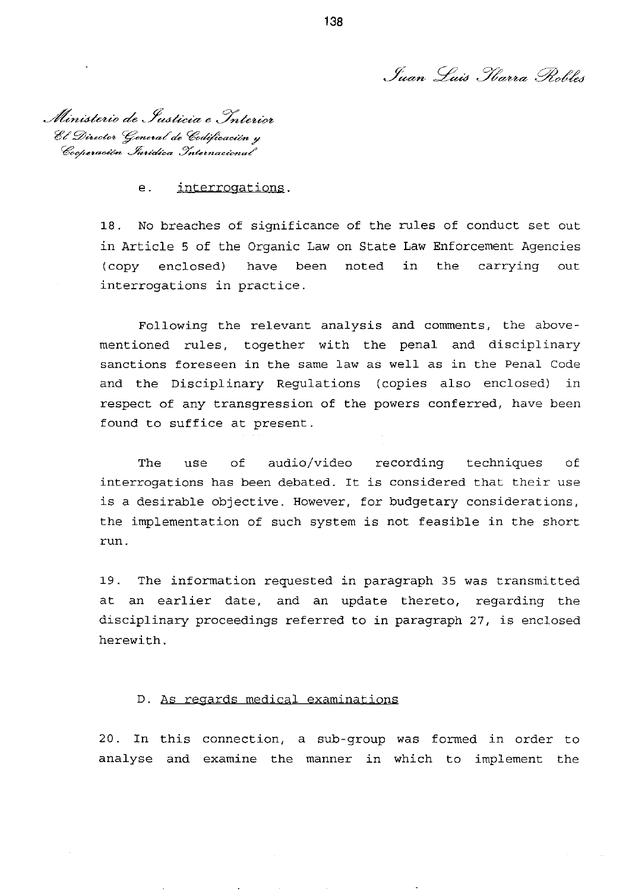Iuan Luis Harra Robles

Ministerio de Iusticia e Interior El Director Ceneral de Codificación y Cooperación Iuridica Internacional

> interrogations.  $e<sub>1</sub>$

 $18.$ No breaches of significance of the rules of conduct set out in Article 5 of the Organic Law on State Law Enforcement Agencies (copy) enclosed) have been noted in the carrying out interrogations in practice.

Following the relevant analysis and comments, the abovementioned rules, together with the penal and disciplinary sanctions foreseen in the same law as well as in the Penal Code and the Disciplinary Regulations (copies also enclosed) in respect of any transgression of the powers conferred, have been found to suffice at present.

The of audio/video recording techniques use оf interrogations has been debated. It is considered that their use is a desirable objective. However, for budgetary considerations, the implementation of such system is not feasible in the short run.

The information requested in paragraph 35 was transmitted 19. at an earlier date, and an update thereto, regarding the disciplinary proceedings referred to in paragraph 27, is enclosed herewith.

### D. As regards medical examinations

In this connection, a sub-group was formed in order to 20. analyse and examine the manner in which to implement the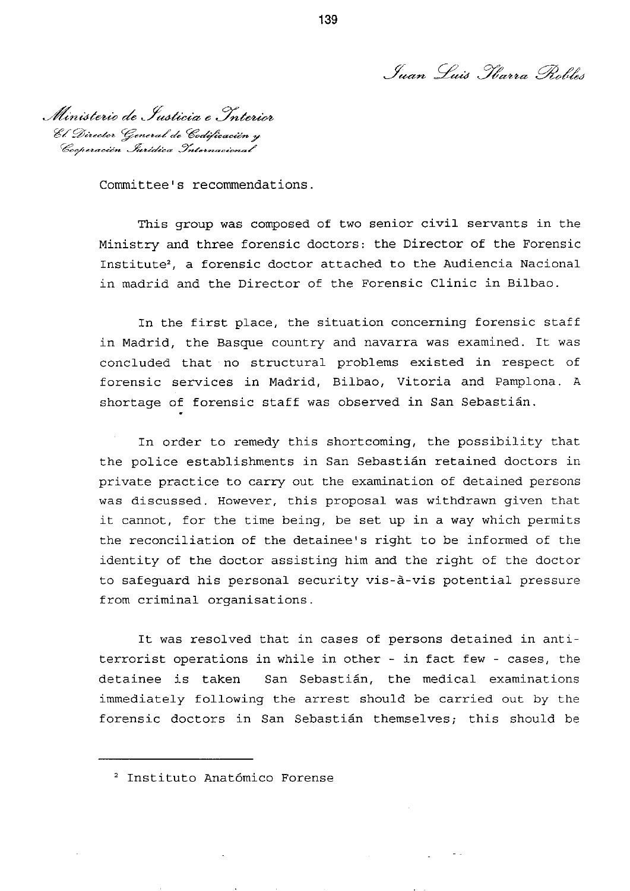Juan Luis . Harra Probles

*./lf:nidteuo afe* c~4tic¿a *e* Xteuo~  $^{e}$ l Director Ceneral de Codificación y ~re-t-=ceon- ~J>úkc-a *..%¿" ... --t-#Z-Ciecee,n:a¿* 

Committee's recommendations.

This group was composed of two senior civil servants in the Ministry and three forensic doctors: the Director of the Forensic Institute', a forensic doctor attached to the Audiencia Nacional in madrid and the Director of the Forensic Clinic in Bilbao.

In the first place, the situation concerning forensic staff in Madrid, the Basque country and navarra was examined. It was concluded that no structural problems existed in respect of forensic services in Madrid, Bilbao, Vitoria and Pamplona. A shortage of forensic staff was observed in San Sebastián.

In order to remedy this shortcoming, the possibility that the police establishments in San Sebastián retained doctors in private practice to carry out the examination of detained persons was discussed. However, this proposal was withdrawn given that it cannot, for the time being, be set up in a way which permits the reconciliation of the detainee's right to be informed of the identity of the doctor assisting him and the right of the doctor to safeguard his personal security vis-a-vis potential pressure from criminal organisations.

It was resolved that in cases of persons detained in antiterrorist operations in while in other - in fact few - cases, the detainee is taken San Sebastián, the medical examinations immediately following the arrest should be carried out by the forensic doctors in San Sebastián themselves; this should be

<sup>&</sup>lt;sup>2</sup> Instituto Anatómico Forense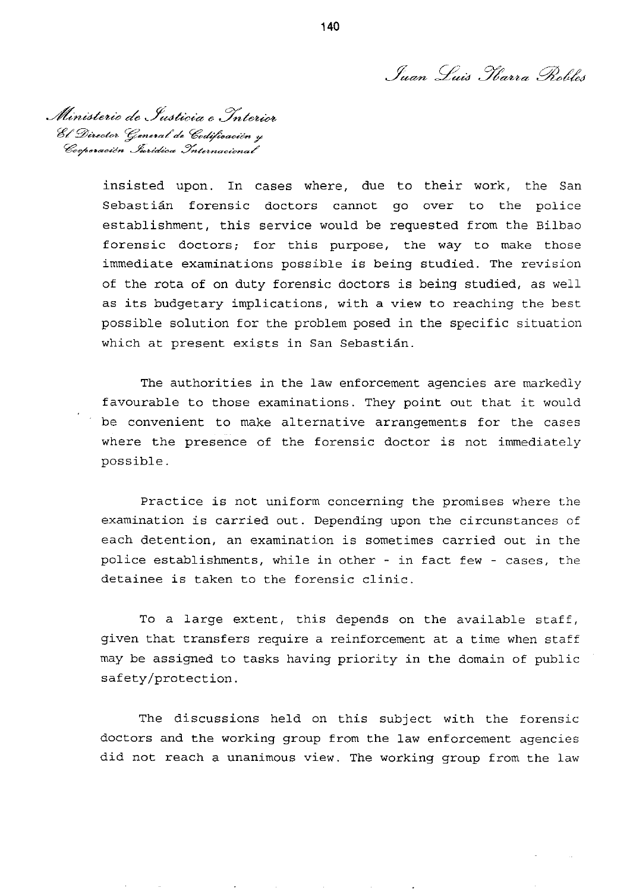Juan Luis . Harra Probles

*Ministerio de Susticia e Interior* El Director Ceneral de Codificación y ~r-","'ar--új?'e ~:"' *...* ~ca *X¿MIZa:ceo\_¿'* 

> insisted upon. **In** cases where, due to their work, the San Sebastián forensic doctors cannot go over to the police establishment, this service would be requested from the Bilbao forensic doctors; for this purpose, the way to make those immediate examinations possible is being studied. The revision of the rota of on duty forensic doctors is being studied, as well as its budgetary implications, with a view to reaching the best possible solution for the problem posed in the specific situation which at present exists in San Sebastián.

> The authorities in the law enforcement agencies are markedly favourable to those examinations. They point out that it would be convenient to make alternative arrangements for the cases where the presence of the forensic doctor is not immediately possible.

> Practice is not uniform concerning the promises where the examination is carried out. Depending upon the circunstances of each detention, an examination is sometimes carried out in the police establishments, while in other - in fact few - cases, the detainee is taken to the forensic clinic.

> To a large extent, this depends on the available staff, given that transfers require a reinforcement at a time when staff may be assigned to tasks having priority in the domain of public safety/protection.

> The discussions held on this subject with the forensic doctors and the working group from the law enforcement agencies did not reach a unanimous view. The working group from the law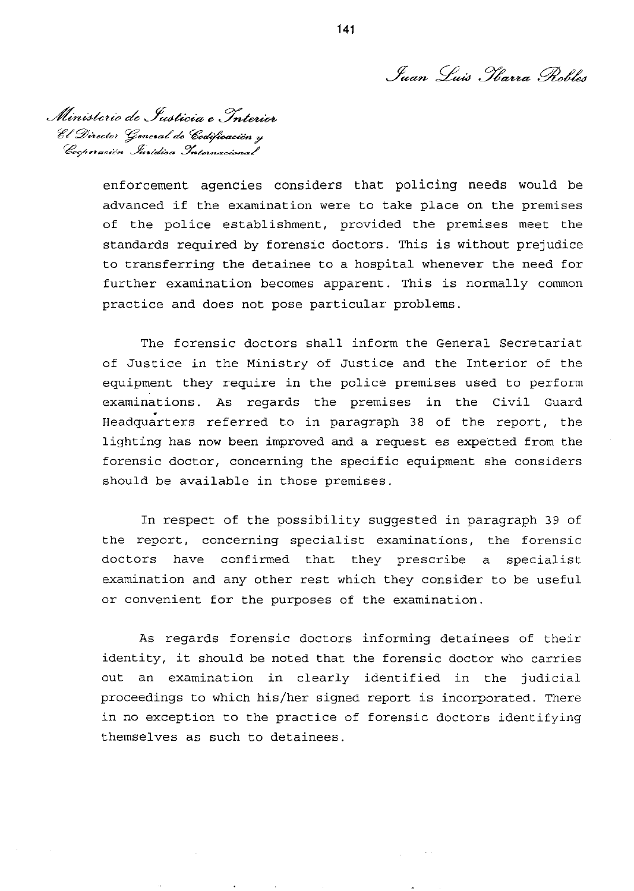Juan Luis Tbarra Robles

*Ministerio de Susticia e Interior*  $%$ l Director General de Codificación y  $^{\circ}$ Cooperación Iuridica Internacional

> enforcement agencies considers that policing needs would be advanced if the examination were to take place on the premises of the police establishment, provided the premises meet the standards required by forensic doctors. This is without prejudice to transferring the detainee to a hospital whenever the need for further examination becomes apparent. This is normally common practice and does not pose particular problems.

> The forensic doctors shall inform the General Secretariat of Justice in the Ministry of Justice and the Interior of the equipment they require in the police premises used to perform examinations. As regards the premises in the Civil Guard<br>Headquarters referred to in paragraph 38 of the report, the lighting has now been improved and a request es expected from the forensic doctor, concerning the specific equipment she considers should be available in those premises.

> In respect of the possibility suggested in paragraph 39 of the report, concerning specialist examinations, the forensic doctors have confirmed that they prescribe a specialist examination and any other rest which they consider to be useful or convenient for the purposes of the examination.

> As regards forensic doctors informing detainees of their identity, it should be noted that the forensic doctor who carries out an examination in clearly identified in the judicial proceedings to which his/her signed report is incorporated. There in no exception to the practice of forensic doctors identifying themselves as such to detainees.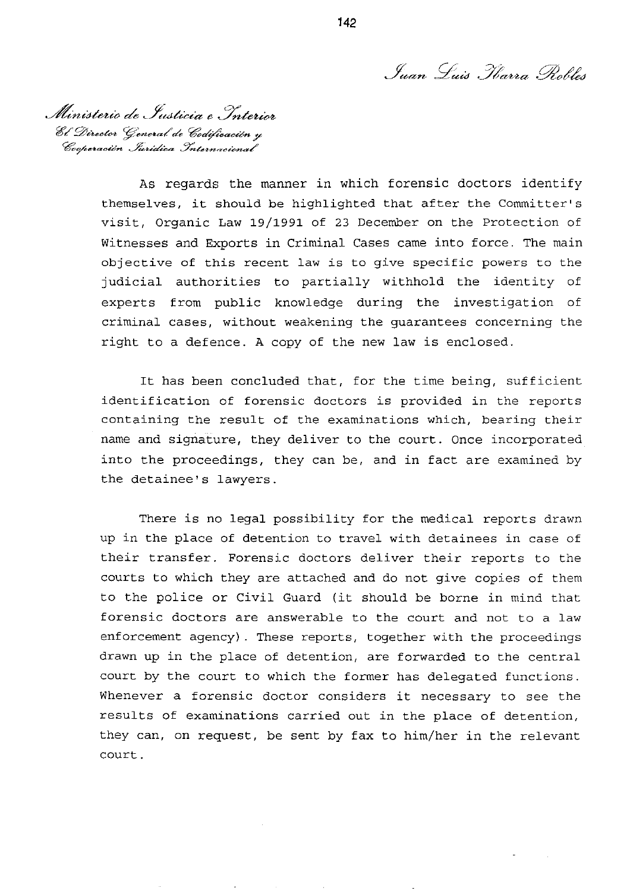Iuan Luis Tbarra Robles

*.//!;'nidtuio ale* ~~~tic<a *e* Xte~ú>~  $\mathscr{E}$ l Director General de Codificación y Cooperación Iuridica Internacional

> As regards the manner in which forensic doctors identify themselves, it should be highlighted that after the Committer's visit, Organic Law 19/1991 of 23 December on the Protection of Witnesses and Exports in Criminal Cases came into force. The main objective of this recent law is to give specific powers to the judicial authorities to partially withhold the identity of experts from public knowledge during the investigation of criminal cases, without weakening the guarantees concerning the right to a defence. A copy of the new law is enclosed.

> It has been concluded that, for the time being, sufficient identification of forensic doctors is provided in the reports containing the result of the examinations which, bearing their name and signature, they deliver to the court. Once incorporated into the proceedings, they can be, and in fact are examined by the detainee's lawyers.

> There is no legal possibility for the medical reports drawn up in the place of detention to travel with detainees in case of their transfer. Forensic doctors deliver their reports to the courts to which they are attached and do not give copies of them to the police or Civil Guard (it should be borne in mind that forensic doctors are answerable to the court and not to a law enforcement agency). These reports, together with the proceedings drawn up in the place of detention, are forwarded to the central court by the court to which the former has delegated functions. Whenever a forensic doctor considers it necessary to see the results of examinations carried out in the place of detention, they can, on request, be sent by fax to him/her in the relevant court.